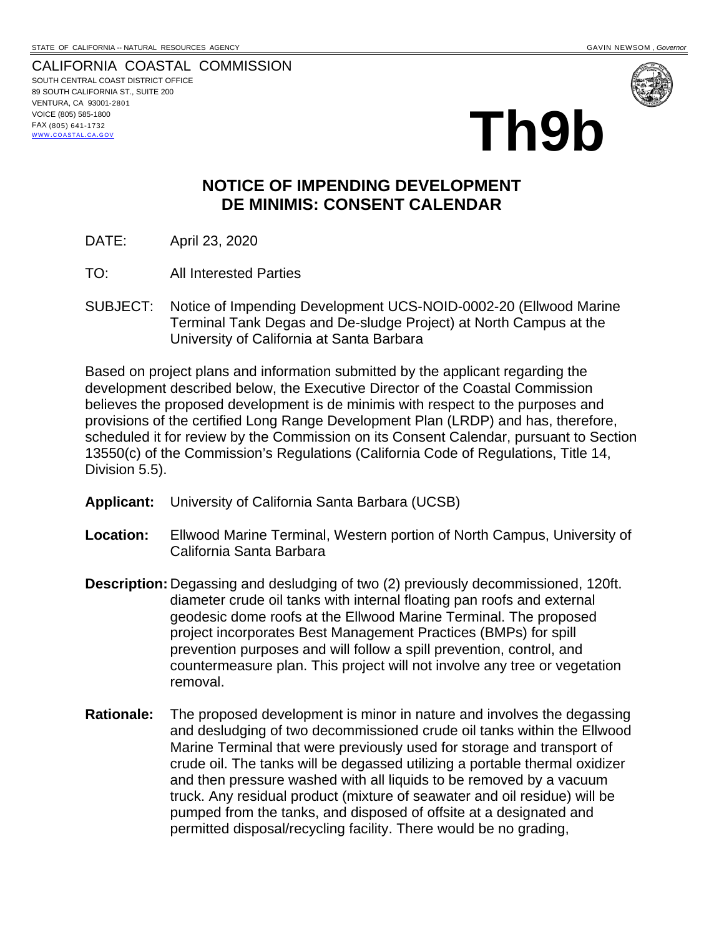CALIFORNIA COASTAL COMMISSION SOUTH CENTRAL COAST DISTRICT OFFICE 89 SOUTH CALIFORNIA ST., SUITE 200 VENTURA, CA 93001-2801 VOICE (805) 585-1800 FAX (805) 641-1732 WWW.COASTAL.CA.GOV



## **Th9b**

## **NOTICE OF IMPENDING DEVELOPMENT DE MINIMIS: CONSENT CALENDAR**

- DATE: April 23, 2020
- TO: All Interested Parties
- SUBJECT: Notice of Impending Development UCS-NOID-0002-20 (Ellwood Marine Terminal Tank Degas and De-sludge Project) at North Campus at the University of California at Santa Barbara

Based on project plans and information submitted by the applicant regarding the development described below, the Executive Director of the Coastal Commission believes the proposed development is de minimis with respect to the purposes and provisions of the certified Long Range Development Plan (LRDP) and has, therefore, scheduled it for review by the Commission on its Consent Calendar, pursuant to Section 13550(c) of the Commission's Regulations (California Code of Regulations, Title 14, Division 5.5).

- **Applicant:** University of California Santa Barbara (UCSB)
- **Location:** Ellwood Marine Terminal, Western portion of North Campus, University of California Santa Barbara
- **Description:** Degassing and desludging of two (2) previously decommissioned, 120ft. diameter crude oil tanks with internal floating pan roofs and external geodesic dome roofs at the Ellwood Marine Terminal. The proposed project incorporates Best Management Practices (BMPs) for spill prevention purposes and will follow a spill prevention, control, and countermeasure plan. This project will not involve any tree or vegetation removal.
- **Rationale:** The proposed development is minor in nature and involves the degassing and desludging of two decommissioned crude oil tanks within the Ellwood Marine Terminal that were previously used for storage and transport of crude oil. The tanks will be degassed utilizing a portable thermal oxidizer and then pressure washed with all liquids to be removed by a vacuum truck. Any residual product (mixture of seawater and oil residue) will be pumped from the tanks, and disposed of offsite at a designated and permitted disposal/recycling facility. There would be no grading,